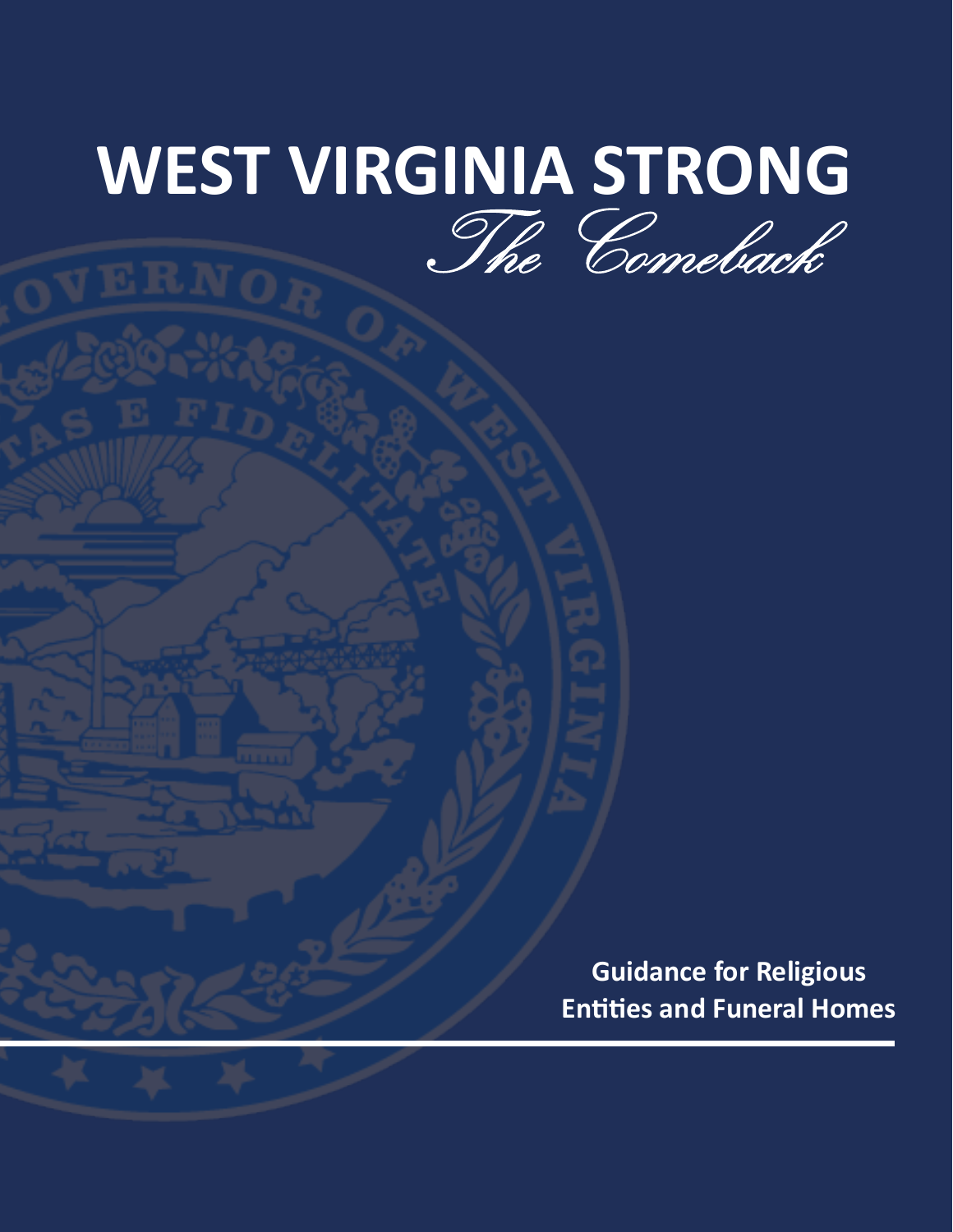## **WEST VIRGINIA STRONG** The Comeback

**Guidance for Religious Entities and Funeral Homes**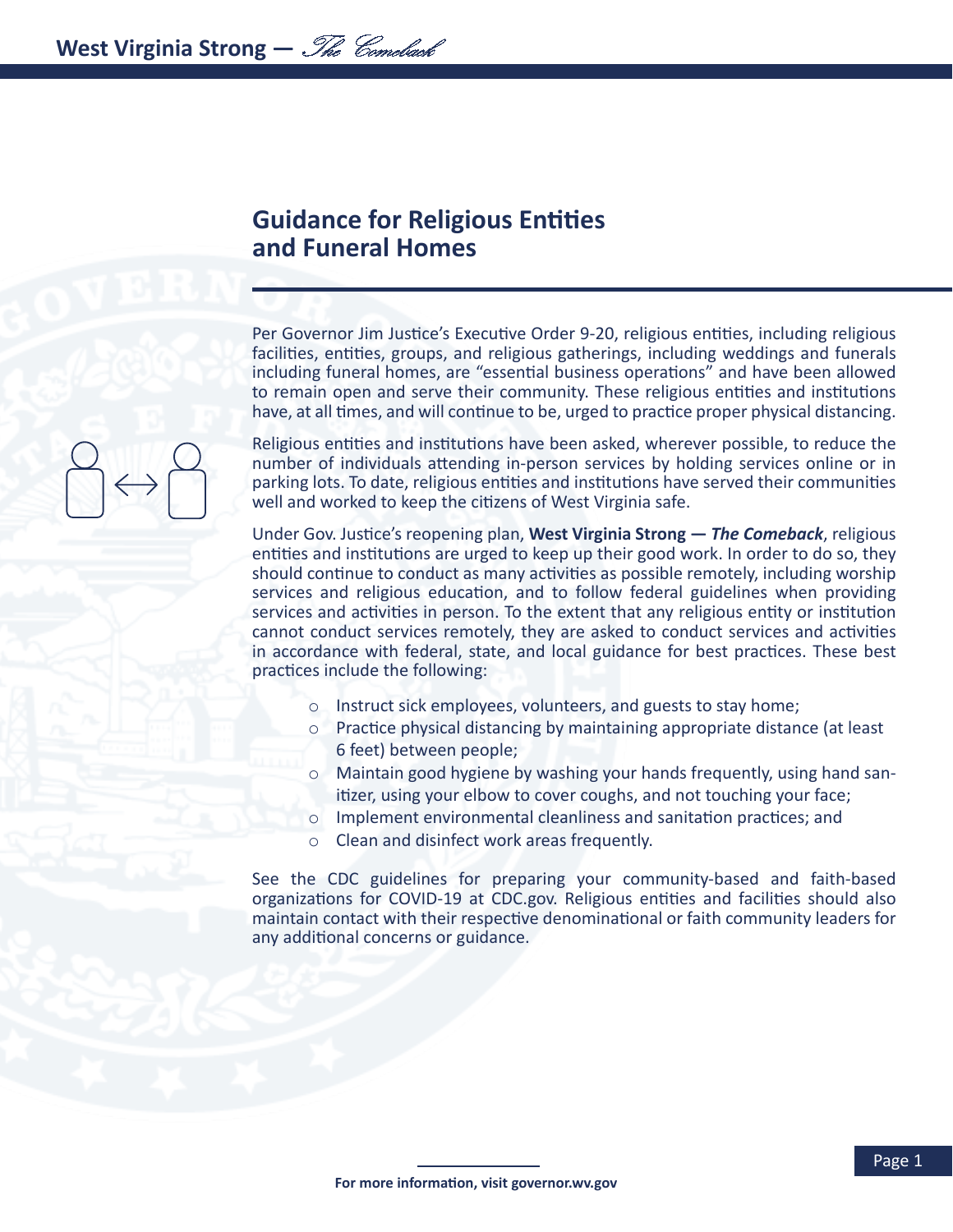## **Guidance for Religious Entities and Funeral Homes**

Per Governor Jim Justice's Executive Order 9-20, religious entities, including religious facilities, entities, groups, and religious gatherings, including weddings and funerals including funeral homes, are "essential business operations" and have been allowed to remain open and serve their community. These religious entities and institutions have, at all times, and will continue to be, urged to practice proper physical distancing.

Religious entities and institutions have been asked, wherever possible, to reduce the number of individuals attending in-person services by holding services online or in parking lots. To date, religious entities and institutions have served their communities well and worked to keep the citizens of West Virginia safe.

Under Gov. Justice's reopening plan, **West Virginia Strong —** *The Comeback*, religious entities and institutions are urged to keep up their good work. In order to do so, they should continue to conduct as many activities as possible remotely, including worship services and religious education, and to follow federal guidelines when providing services and activities in person. To the extent that any religious entity or institution cannot conduct services remotely, they are asked to conduct services and activities in accordance with federal, state, and local guidance for best practices. These best practices include the following:

- o Instruct sick employees, volunteers, and guests to stay home;
- o Practice physical distancing by maintaining appropriate distance (at least 6 feet) between people;
- o Maintain good hygiene by washing your hands frequently, using hand sanitizer, using your elbow to cover coughs, and not touching your face;
- o Implement environmental cleanliness and sanitation practices; and
- o Clean and disinfect work areas frequently.

See the CDC guidelines for preparing your community-based and faith-based organizations for COVID-19 at CDC.gov. Religious entities and facilities should also maintain contact with their respective denominational or faith community leaders for any additional concerns or guidance.